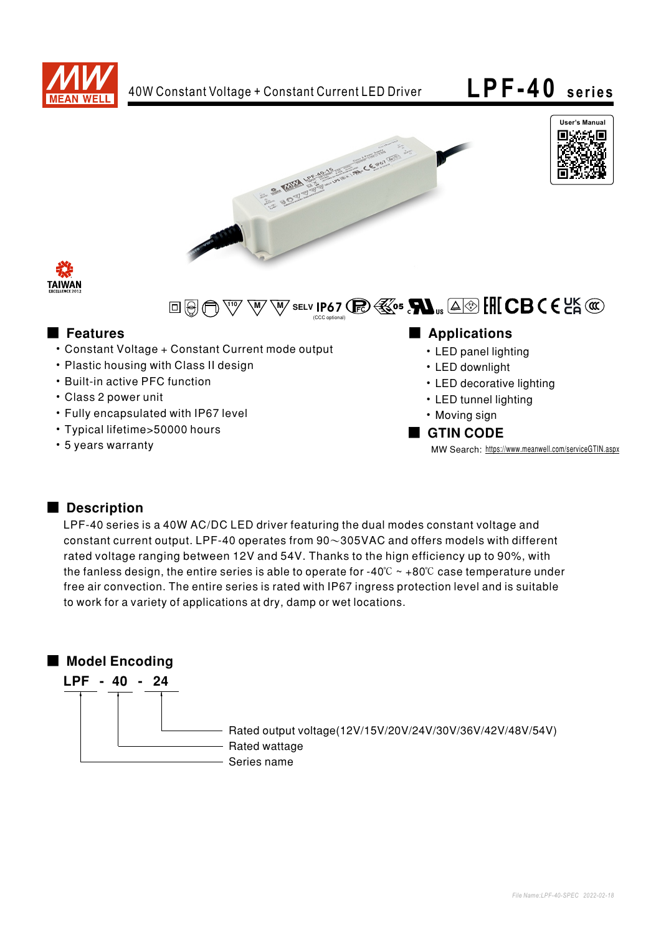







#### $\sqrt[110]{}$   $\mathcal{M}$   $\mathcal{M}$  selv **IP67** (CCC optional)

- Constant Voltage + Constant Current mode output
- Plastic housing with Class II design
- Built-in active PFC function
- Class 2 power unit
- Fully encapsulated with IP67 level
- Typical lifetime>50000 hours
- 5 years warranty

## ■ Features ■ Particular and Particular and Particular and Particular and Particular and Particular and Particular and Particular and Particular and Particular and Particular and Particular and Particular and Particular an

- LED panel lighting
- LED downlight
- LED decorative lighting
- LED tunnel lighting
- Moving sign

#### ■ GTIN CODE

MW Search: https://www.meanwell.com/serviceGTIN.aspx

# Description

LPF-40 series is a 40W AC/DC LED driver featuring the dual modes constant voltage and constant current output. LPF-40 operates from  $90~305$ VAC and offers models with different rated voltage ranging between 12V and 54V. Thanks to the hign efficiency up to 90%, with the fanless design, the entire series is able to operate for -40 $\degree$ C ~ +80 $\degree$ C case temperature under free air convection. The entire series is rated with IP67 ingress protection level and is suitable to work for a variety of applications at dry, damp or wet locations.

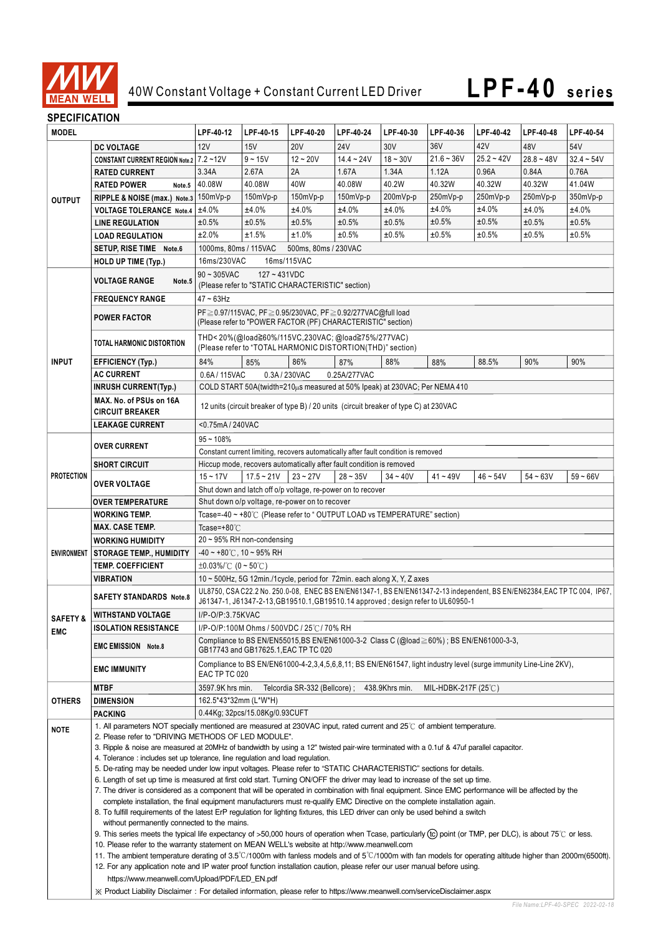

## **SPECIFICATION**

| יוטו וערו ווטב וט<br><b>MODEL</b> |                                                                                                                                                                                                                                                                                                                                                                                                                                                                                                                                                                                                                                                                                                                                                                                                                                                                                                                                                                 | LPF-40-12                                                                                                                                                                                                     | LPF-40-15       | LPF-40-20                                                         | LPF-40-24       | LPF-40-30       | LPF-40-36    | LPF-40-42    | LPF-40-48    | LPF-40-54       |
|-----------------------------------|-----------------------------------------------------------------------------------------------------------------------------------------------------------------------------------------------------------------------------------------------------------------------------------------------------------------------------------------------------------------------------------------------------------------------------------------------------------------------------------------------------------------------------------------------------------------------------------------------------------------------------------------------------------------------------------------------------------------------------------------------------------------------------------------------------------------------------------------------------------------------------------------------------------------------------------------------------------------|---------------------------------------------------------------------------------------------------------------------------------------------------------------------------------------------------------------|-----------------|-------------------------------------------------------------------|-----------------|-----------------|--------------|--------------|--------------|-----------------|
|                                   |                                                                                                                                                                                                                                                                                                                                                                                                                                                                                                                                                                                                                                                                                                                                                                                                                                                                                                                                                                 |                                                                                                                                                                                                               |                 |                                                                   |                 |                 |              | 42V          |              |                 |
|                                   | <b>DC VOLTAGE</b>                                                                                                                                                                                                                                                                                                                                                                                                                                                                                                                                                                                                                                                                                                                                                                                                                                                                                                                                               | 12V                                                                                                                                                                                                           | 15V             | <b>20V</b>                                                        | <b>24V</b>      | 30 <sub>V</sub> | 36V          |              | 48V          | 54V             |
| <b>OUTPUT</b>                     | CONSTANT CURRENT REGION Note.2 7.2~12V                                                                                                                                                                                                                                                                                                                                                                                                                                                                                                                                                                                                                                                                                                                                                                                                                                                                                                                          |                                                                                                                                                                                                               | $9 - 15V$       | $12 - 20V$                                                        | $14.4 - 24V$    | $18 - 30V$      | $21.6 - 36V$ | $25.2 - 42V$ | $28.8 - 48V$ | $32.4 - 54V$    |
|                                   | <b>RATED CURRENT</b>                                                                                                                                                                                                                                                                                                                                                                                                                                                                                                                                                                                                                                                                                                                                                                                                                                                                                                                                            | 3.34A                                                                                                                                                                                                         | 2.67A<br>40.08W | 2A                                                                | 1.67A<br>40.08W | 1.34A           | 1.12A        | 0.96A        | 0.84A        | 0.76A<br>41.04W |
|                                   | <b>RATED POWER</b><br>Note.5                                                                                                                                                                                                                                                                                                                                                                                                                                                                                                                                                                                                                                                                                                                                                                                                                                                                                                                                    | 40.08W                                                                                                                                                                                                        |                 | 40W                                                               |                 | 40.2W           | 40.32W       | 40.32W       | 40.32W       |                 |
|                                   | RIPPLE & NOISE (max.) Note.3 150mVp-p                                                                                                                                                                                                                                                                                                                                                                                                                                                                                                                                                                                                                                                                                                                                                                                                                                                                                                                           |                                                                                                                                                                                                               | 150mVp-p        | 150mVp-p                                                          | 150mVp-p        | 200mVp-p        | 250mVp-p     | 250mVp-p     | 250mVp-p     | 350mVp-p        |
|                                   | <b>VOLTAGE TOLERANCE Note.4</b>                                                                                                                                                                                                                                                                                                                                                                                                                                                                                                                                                                                                                                                                                                                                                                                                                                                                                                                                 | ±4.0%                                                                                                                                                                                                         | ±4.0%           | ±4.0%                                                             | ±4.0%           | ±4.0%           | ±4.0%        | ±4.0%        | ±4.0%        | ±4.0%           |
|                                   | <b>LINE REGULATION</b>                                                                                                                                                                                                                                                                                                                                                                                                                                                                                                                                                                                                                                                                                                                                                                                                                                                                                                                                          | ±0.5%                                                                                                                                                                                                         | ±0.5%           | ±0.5%                                                             | ±0.5%           | ±0.5%           | ±0.5%        | ±0.5%        | ±0.5%        | ±0.5%           |
|                                   | <b>LOAD REGULATION</b>                                                                                                                                                                                                                                                                                                                                                                                                                                                                                                                                                                                                                                                                                                                                                                                                                                                                                                                                          | ±2.0%                                                                                                                                                                                                         | ±1.5%           | ±1.0%                                                             | ±0.5%           | ±0.5%           | ±0.5%        | ±0.5%        | ±0.5%        | ±0.5%           |
|                                   | SETUP, RISE TIME Note.6                                                                                                                                                                                                                                                                                                                                                                                                                                                                                                                                                                                                                                                                                                                                                                                                                                                                                                                                         | 1000ms, 80ms / 115VAC<br>500ms, 80ms / 230VAC                                                                                                                                                                 |                 |                                                                   |                 |                 |              |              |              |                 |
|                                   | <b>HOLD UP TIME (Typ.)</b>                                                                                                                                                                                                                                                                                                                                                                                                                                                                                                                                                                                                                                                                                                                                                                                                                                                                                                                                      | 16ms/115VAC<br>16ms/230VAC                                                                                                                                                                                    |                 |                                                                   |                 |                 |              |              |              |                 |
|                                   | <b>VOLTAGE RANGE</b><br>Note.5                                                                                                                                                                                                                                                                                                                                                                                                                                                                                                                                                                                                                                                                                                                                                                                                                                                                                                                                  | $90 \sim 305$ VAC<br>$127 - 431VDC$<br>(Please refer to "STATIC CHARACTERISTIC" section)                                                                                                                      |                 |                                                                   |                 |                 |              |              |              |                 |
|                                   | <b>FREQUENCY RANGE</b>                                                                                                                                                                                                                                                                                                                                                                                                                                                                                                                                                                                                                                                                                                                                                                                                                                                                                                                                          | $47 \sim 63$ Hz                                                                                                                                                                                               |                 |                                                                   |                 |                 |              |              |              |                 |
|                                   |                                                                                                                                                                                                                                                                                                                                                                                                                                                                                                                                                                                                                                                                                                                                                                                                                                                                                                                                                                 | PF ≥ 0.97/115VAC, PF ≥ 0.95/230VAC, PF ≥ 0.92/277VAC@full load<br>(Please refer to "POWER FACTOR (PF) CHARACTERISTIC" section)                                                                                |                 |                                                                   |                 |                 |              |              |              |                 |
|                                   | <b>POWER FACTOR</b>                                                                                                                                                                                                                                                                                                                                                                                                                                                                                                                                                                                                                                                                                                                                                                                                                                                                                                                                             |                                                                                                                                                                                                               |                 |                                                                   |                 |                 |              |              |              |                 |
|                                   | TOTAL HARMONIC DISTORTION                                                                                                                                                                                                                                                                                                                                                                                                                                                                                                                                                                                                                                                                                                                                                                                                                                                                                                                                       |                                                                                                                                                                                                               |                 |                                                                   |                 |                 |              |              |              |                 |
| <b>INPUT</b>                      | <b>EFFICIENCY (Typ.)</b>                                                                                                                                                                                                                                                                                                                                                                                                                                                                                                                                                                                                                                                                                                                                                                                                                                                                                                                                        | 84%                                                                                                                                                                                                           | 85%             | (Please refer to "TOTAL HARMONIC DISTORTION(THD)" section)<br>86% | 87%             | 88%             | 88%          | 88.5%        | 90%          | 90%             |
|                                   | <b>AC CURRENT</b>                                                                                                                                                                                                                                                                                                                                                                                                                                                                                                                                                                                                                                                                                                                                                                                                                                                                                                                                               | 0.6A/115VAC                                                                                                                                                                                                   |                 | 0.3A/230VAC                                                       | 0.25A/277VAC    |                 |              |              |              |                 |
|                                   | <b>INRUSH CURRENT(Typ.)</b>                                                                                                                                                                                                                                                                                                                                                                                                                                                                                                                                                                                                                                                                                                                                                                                                                                                                                                                                     | COLD START 50A(twidth=210 $\mu$ s measured at 50% Ipeak) at 230VAC; Per NEMA 410                                                                                                                              |                 |                                                                   |                 |                 |              |              |              |                 |
|                                   | MAX. No. of PSUs on 16A                                                                                                                                                                                                                                                                                                                                                                                                                                                                                                                                                                                                                                                                                                                                                                                                                                                                                                                                         |                                                                                                                                                                                                               |                 |                                                                   |                 |                 |              |              |              |                 |
|                                   | <b>CIRCUIT BREAKER</b>                                                                                                                                                                                                                                                                                                                                                                                                                                                                                                                                                                                                                                                                                                                                                                                                                                                                                                                                          | 12 units (circuit breaker of type B) / 20 units (circuit breaker of type C) at 230VAC                                                                                                                         |                 |                                                                   |                 |                 |              |              |              |                 |
|                                   | <b>LEAKAGE CURRENT</b>                                                                                                                                                                                                                                                                                                                                                                                                                                                                                                                                                                                                                                                                                                                                                                                                                                                                                                                                          | <0.75mA / 240VAC                                                                                                                                                                                              |                 |                                                                   |                 |                 |              |              |              |                 |
|                                   | <b>OVER CURRENT</b>                                                                                                                                                                                                                                                                                                                                                                                                                                                                                                                                                                                                                                                                                                                                                                                                                                                                                                                                             | $95 - 108%$                                                                                                                                                                                                   |                 |                                                                   |                 |                 |              |              |              |                 |
|                                   |                                                                                                                                                                                                                                                                                                                                                                                                                                                                                                                                                                                                                                                                                                                                                                                                                                                                                                                                                                 |                                                                                                                                                                                                               |                 |                                                                   |                 |                 |              |              |              |                 |
|                                   | <b>SHORT CIRCUIT</b>                                                                                                                                                                                                                                                                                                                                                                                                                                                                                                                                                                                                                                                                                                                                                                                                                                                                                                                                            | Constant current limiting, recovers automatically after fault condition is removed<br>Hiccup mode, recovers automatically after fault condition is removed                                                    |                 |                                                                   |                 |                 |              |              |              |                 |
| <b>PROTECTION</b>                 |                                                                                                                                                                                                                                                                                                                                                                                                                                                                                                                                                                                                                                                                                                                                                                                                                                                                                                                                                                 | $15 - 17V$                                                                                                                                                                                                    | $17.5 - 21V$    | $23 - 27V$                                                        | $28 - 35V$      | $34 - 40V$      | $41 - 49V$   | $46 - 54V$   | $54 - 63V$   | $59 - 66V$      |
|                                   | OVER VOLTAGE                                                                                                                                                                                                                                                                                                                                                                                                                                                                                                                                                                                                                                                                                                                                                                                                                                                                                                                                                    | Shut down and latch off o/p voltage, re-power on to recover                                                                                                                                                   |                 |                                                                   |                 |                 |              |              |              |                 |
|                                   | <b>OVER TEMPERATURE</b>                                                                                                                                                                                                                                                                                                                                                                                                                                                                                                                                                                                                                                                                                                                                                                                                                                                                                                                                         | Shut down o/p voltage, re-power on to recover                                                                                                                                                                 |                 |                                                                   |                 |                 |              |              |              |                 |
|                                   | WORKING TEMP.                                                                                                                                                                                                                                                                                                                                                                                                                                                                                                                                                                                                                                                                                                                                                                                                                                                                                                                                                   | Tcase=-40 ~ +80℃ (Please refer to " OUTPUT LOAD vs TEMPERATURE" section)                                                                                                                                      |                 |                                                                   |                 |                 |              |              |              |                 |
|                                   | <b>MAX. CASE TEMP.</b>                                                                                                                                                                                                                                                                                                                                                                                                                                                                                                                                                                                                                                                                                                                                                                                                                                                                                                                                          | Tcase=+80 $°C$                                                                                                                                                                                                |                 |                                                                   |                 |                 |              |              |              |                 |
|                                   | <b>WORKING HUMIDITY</b>                                                                                                                                                                                                                                                                                                                                                                                                                                                                                                                                                                                                                                                                                                                                                                                                                                                                                                                                         | $20 \sim 95\%$ RH non-condensing                                                                                                                                                                              |                 |                                                                   |                 |                 |              |              |              |                 |
|                                   | ENVIRONMENT STORAGE TEMP., HUMIDITY                                                                                                                                                                                                                                                                                                                                                                                                                                                                                                                                                                                                                                                                                                                                                                                                                                                                                                                             | $-40 \sim +80^{\circ}$ C, 10 ~ 95% RH                                                                                                                                                                         |                 |                                                                   |                 |                 |              |              |              |                 |
|                                   | <b>TEMP. COEFFICIENT</b>                                                                                                                                                                                                                                                                                                                                                                                                                                                                                                                                                                                                                                                                                                                                                                                                                                                                                                                                        | ±0.03%/℃ (0~50℃)                                                                                                                                                                                              |                 |                                                                   |                 |                 |              |              |              |                 |
|                                   | <b>VIBRATION</b><br>10 ~ 500Hz, 5G 12min./1cycle, period for 72min. each along X, Y, Z axes                                                                                                                                                                                                                                                                                                                                                                                                                                                                                                                                                                                                                                                                                                                                                                                                                                                                     |                                                                                                                                                                                                               |                 |                                                                   |                 |                 |              |              |              |                 |
|                                   | <b>SAFETY STANDARDS Note.8</b>                                                                                                                                                                                                                                                                                                                                                                                                                                                                                                                                                                                                                                                                                                                                                                                                                                                                                                                                  | UL8750, CSA C22.2 No. 250.0-08, ENEC BS EN/EN61347-1, BS EN/EN61347-2-13 independent, BS EN/EN62384, EAC TP TC 004, IP67,<br>J61347-1, J61347-2-13, GB19510.1, GB19510.14 approved; design refer to UL60950-1 |                 |                                                                   |                 |                 |              |              |              |                 |
|                                   | SAFETY & WITHSTAND VOLTAGE                                                                                                                                                                                                                                                                                                                                                                                                                                                                                                                                                                                                                                                                                                                                                                                                                                                                                                                                      | I/P-O/P:3.75KVAC                                                                                                                                                                                              |                 |                                                                   |                 |                 |              |              |              |                 |
| EMC                               | <b>ISOLATION RESISTANCE</b>                                                                                                                                                                                                                                                                                                                                                                                                                                                                                                                                                                                                                                                                                                                                                                                                                                                                                                                                     | I/P-O/P:100M Ohms / 500VDC / 25℃/ 70% RH                                                                                                                                                                      |                 |                                                                   |                 |                 |              |              |              |                 |
|                                   |                                                                                                                                                                                                                                                                                                                                                                                                                                                                                                                                                                                                                                                                                                                                                                                                                                                                                                                                                                 | Compliance to BS EN/EN55015,BS EN/EN61000-3-2 Class C (@load $\geq$ 60%); BS EN/EN61000-3-3,<br>GB17743 and GB17625.1, EAC TP TC 020                                                                          |                 |                                                                   |                 |                 |              |              |              |                 |
|                                   | <b>EMC EMISSION Note.8</b>                                                                                                                                                                                                                                                                                                                                                                                                                                                                                                                                                                                                                                                                                                                                                                                                                                                                                                                                      |                                                                                                                                                                                                               |                 |                                                                   |                 |                 |              |              |              |                 |
|                                   | Compliance to BS EN/EN61000-4-2,3,4,5,6,8,11; BS EN/EN61547, light industry level (surge immunity Line-Line 2KV),<br><b>EMC IMMUNITY</b><br>EAC TP TC 020                                                                                                                                                                                                                                                                                                                                                                                                                                                                                                                                                                                                                                                                                                                                                                                                       |                                                                                                                                                                                                               |                 |                                                                   |                 |                 |              |              |              |                 |
|                                   | <b>MTBF</b>                                                                                                                                                                                                                                                                                                                                                                                                                                                                                                                                                                                                                                                                                                                                                                                                                                                                                                                                                     | Telcordia SR-332 (Bellcore);<br>438.9Khrs min.<br>MIL-HDBK-217F $(25^{\circ}$ C)<br>3597.9K hrs min.                                                                                                          |                 |                                                                   |                 |                 |              |              |              |                 |
| OTHERS                            | <b>DIMENSION</b>                                                                                                                                                                                                                                                                                                                                                                                                                                                                                                                                                                                                                                                                                                                                                                                                                                                                                                                                                | 162.5*43*32mm (L*W*H)                                                                                                                                                                                         |                 |                                                                   |                 |                 |              |              |              |                 |
|                                   | <b>PACKING</b>                                                                                                                                                                                                                                                                                                                                                                                                                                                                                                                                                                                                                                                                                                                                                                                                                                                                                                                                                  | 0.44Kg; 32pcs/15.08Kg/0.93CUFT                                                                                                                                                                                |                 |                                                                   |                 |                 |              |              |              |                 |
| <b>NOTE</b>                       | 1. All parameters NOT specially mentioned are measured at 230VAC input, rated current and 25°C of ambient temperature.                                                                                                                                                                                                                                                                                                                                                                                                                                                                                                                                                                                                                                                                                                                                                                                                                                          |                                                                                                                                                                                                               |                 |                                                                   |                 |                 |              |              |              |                 |
|                                   | 2. Please refer to "DRIVING METHODS OF LED MODULE".<br>3. Ripple & noise are measured at 20MHz of bandwidth by using a 12" twisted pair-wire terminated with a 0.1uf & 47uf parallel capacitor.<br>4. Tolerance : includes set up tolerance, line regulation and load regulation.<br>5. De-rating may be needed under low input voltages. Please refer to "STATIC CHARACTERISTIC" sections for details.<br>6. Length of set up time is measured at first cold start. Turning ON/OFF the driver may lead to increase of the set up time.<br>7. The driver is considered as a component that will be operated in combination with final equipment. Since EMC performance will be affected by the<br>complete installation, the final equipment manufacturers must re-qualify EMC Directive on the complete installation again.<br>8. To fulfill requirements of the latest ErP regulation for lighting fixtures, this LED driver can only be used behind a switch |                                                                                                                                                                                                               |                 |                                                                   |                 |                 |              |              |              |                 |
|                                   |                                                                                                                                                                                                                                                                                                                                                                                                                                                                                                                                                                                                                                                                                                                                                                                                                                                                                                                                                                 |                                                                                                                                                                                                               |                 |                                                                   |                 |                 |              |              |              |                 |
|                                   |                                                                                                                                                                                                                                                                                                                                                                                                                                                                                                                                                                                                                                                                                                                                                                                                                                                                                                                                                                 |                                                                                                                                                                                                               |                 |                                                                   |                 |                 |              |              |              |                 |
|                                   |                                                                                                                                                                                                                                                                                                                                                                                                                                                                                                                                                                                                                                                                                                                                                                                                                                                                                                                                                                 |                                                                                                                                                                                                               |                 |                                                                   |                 |                 |              |              |              |                 |
|                                   |                                                                                                                                                                                                                                                                                                                                                                                                                                                                                                                                                                                                                                                                                                                                                                                                                                                                                                                                                                 |                                                                                                                                                                                                               |                 |                                                                   |                 |                 |              |              |              |                 |
|                                   |                                                                                                                                                                                                                                                                                                                                                                                                                                                                                                                                                                                                                                                                                                                                                                                                                                                                                                                                                                 |                                                                                                                                                                                                               |                 |                                                                   |                 |                 |              |              |              |                 |
|                                   | without permanently connected to the mains.                                                                                                                                                                                                                                                                                                                                                                                                                                                                                                                                                                                                                                                                                                                                                                                                                                                                                                                     |                                                                                                                                                                                                               |                 |                                                                   |                 |                 |              |              |              |                 |
|                                   | 9. This series meets the typical life expectancy of >50,000 hours of operation when Tcase, particularly (tc) point (or TMP, per DLC), is about 75℃ or less.                                                                                                                                                                                                                                                                                                                                                                                                                                                                                                                                                                                                                                                                                                                                                                                                     |                                                                                                                                                                                                               |                 |                                                                   |                 |                 |              |              |              |                 |
|                                   | 10. Please refer to the warranty statement on MEAN WELL's website at http://www.meanwell.com                                                                                                                                                                                                                                                                                                                                                                                                                                                                                                                                                                                                                                                                                                                                                                                                                                                                    |                                                                                                                                                                                                               |                 |                                                                   |                 |                 |              |              |              |                 |
|                                   | 11. The ambient temperature derating of 3.5°C/1000m with fanless models and of 5°C/1000m with fan models for operating altitude higher than 2000m(6500ft).                                                                                                                                                                                                                                                                                                                                                                                                                                                                                                                                                                                                                                                                                                                                                                                                      |                                                                                                                                                                                                               |                 |                                                                   |                 |                 |              |              |              |                 |
|                                   | 12. For any application note and IP water proof function installation caution, please refer our user manual before using.                                                                                                                                                                                                                                                                                                                                                                                                                                                                                                                                                                                                                                                                                                                                                                                                                                       |                                                                                                                                                                                                               |                 |                                                                   |                 |                 |              |              |              |                 |
|                                   | https://www.meanwell.com/Upload/PDF/LED_EN.pdf                                                                                                                                                                                                                                                                                                                                                                                                                                                                                                                                                                                                                                                                                                                                                                                                                                                                                                                  |                                                                                                                                                                                                               |                 |                                                                   |                 |                 |              |              |              |                 |
|                                   | X Product Liability Disclaimer: For detailed information, please refer to https://www.meanwell.com/serviceDisclaimer.aspx                                                                                                                                                                                                                                                                                                                                                                                                                                                                                                                                                                                                                                                                                                                                                                                                                                       |                                                                                                                                                                                                               |                 |                                                                   |                 |                 |              |              |              |                 |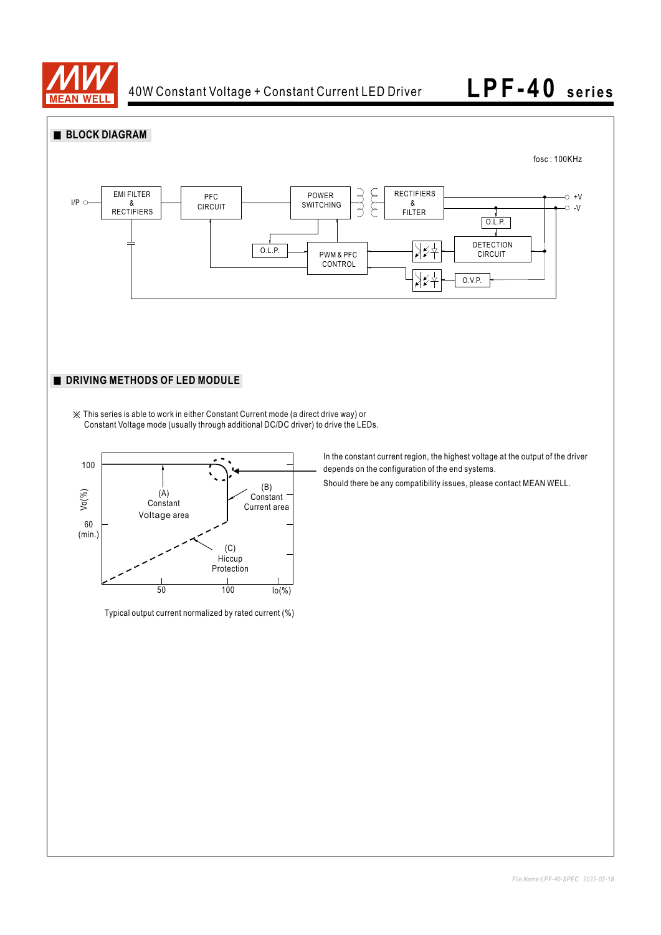

 $60$ <br>(min.)

 $Vo(%)$ 



Should there be any compatibility issues, please contact MEAN WELL.

Typical output current normalized by rated current (%)

(A) **Constant** Voltage area

50 100 Io(%)

(C) **Hiccup** Protection

(B) Constant Current area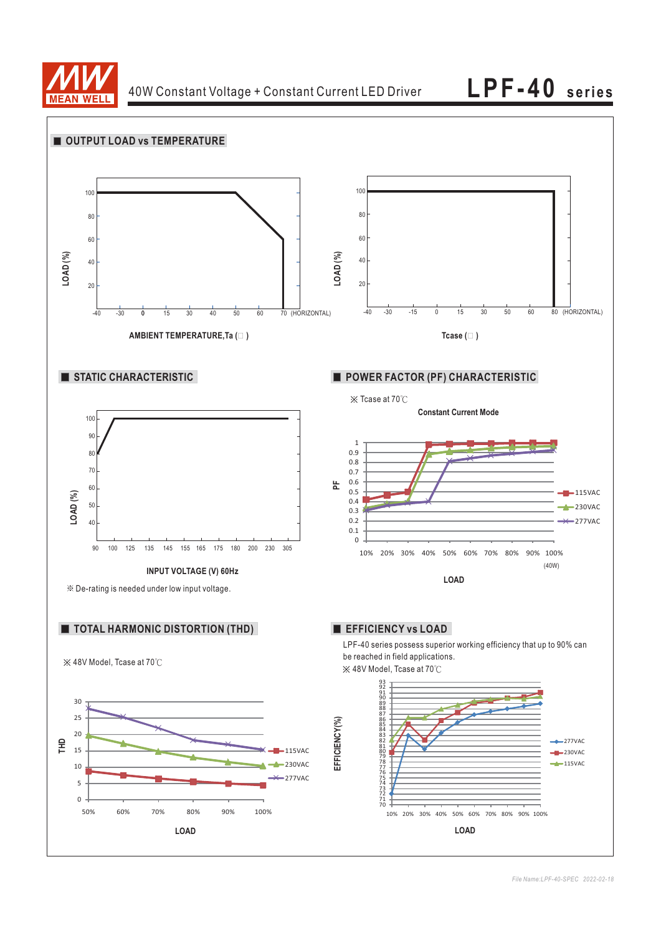

**LPF-40 series**

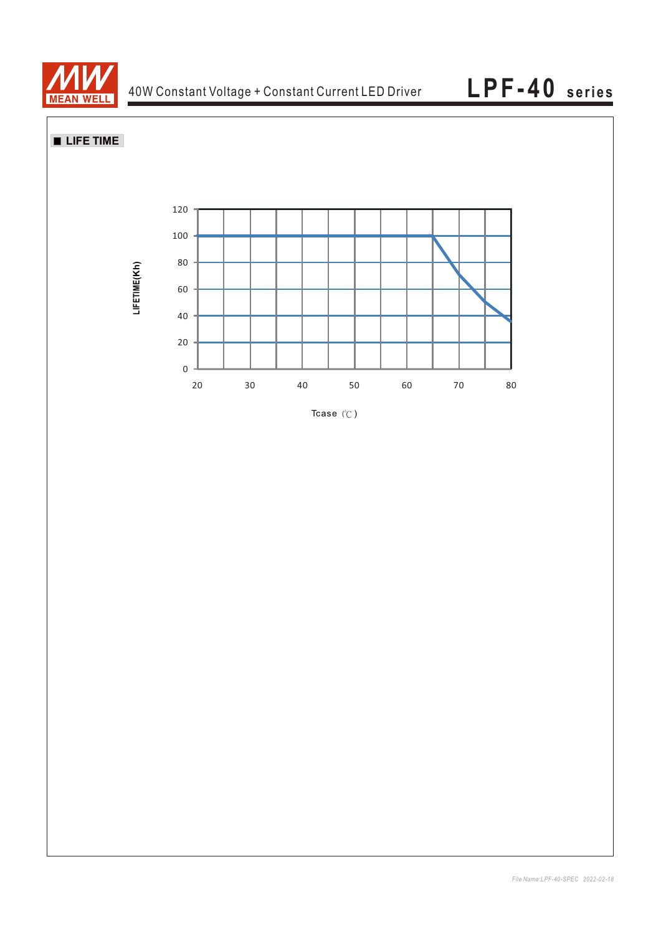